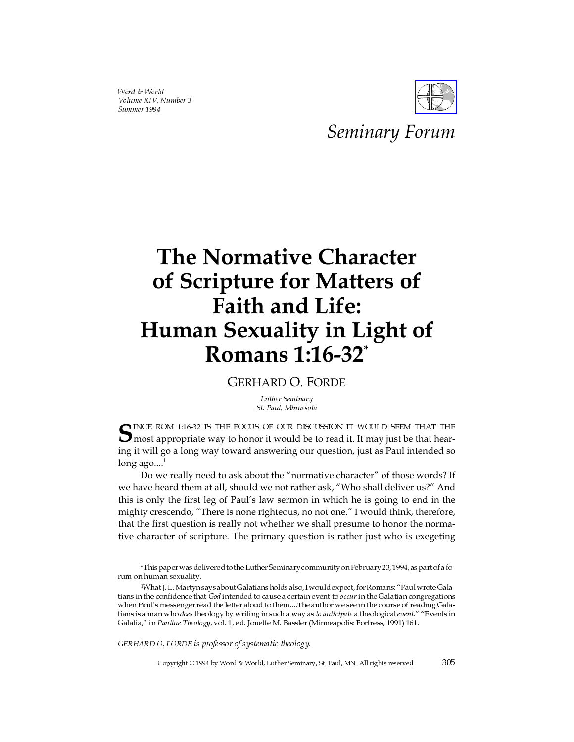Word & World Volume XIV, Number 3 Summer 1994



# *Seminary Forum*

# **The Normative Character of Scripture for Matters of Faith and Life: Human Sexuality in Light of Romans 1:16-32\***

GERHARD O. FORDE

Luther Seminary St. Paul, Minnesota

SINCE ROM 1:16-32 IS THE FOCUS OF OUR DISCUSSION IT WOULD SEEM THAT THE most appropriate way to honor it would be to read it. It may just be that hearing it will go a long way toward answering our question, just as Paul intended so long ago....

Do we really need to ask about the "normative character" of those words? If we have heard them at all, should we not rather ask, "Who shall deliver us?" And this is only the first leg of Paul's law sermon in which he is going to end in the mighty crescendo, "There is none righteous, no not one." I would think, therefore, that the first question is really not whether we shall presume to honor the normative character of scripture. The primary question is rather just who is exegeting

GERHARD O. FORDE is professor of systematic theology.

Copyright © 1994 by Word & World, Luther Seminary, St. Paul, MN. All rights reserved. 305

<sup>\*</sup>This paperwas delivered to the Luther Seminary community on February 23, 1994, as part of a forum on human sexuality.

<sup>1</sup>What J. L. Martyn says about Galatians holds also, I would expect, for Romans: "Paul wrote Galatians in the confidence that God intended to cause a certain event to occur in the Galatian congregations when Paul's messenger read the letter aloud to them....The author we see in the course of reading Galatians is a man who does theology by writing in such a way as to anticipate a theological event." "Events in Galatia," in Pauline Theology, vol. 1, ed. Jouette M. Bassler (Minneapolis: Fortress, 1991) 161.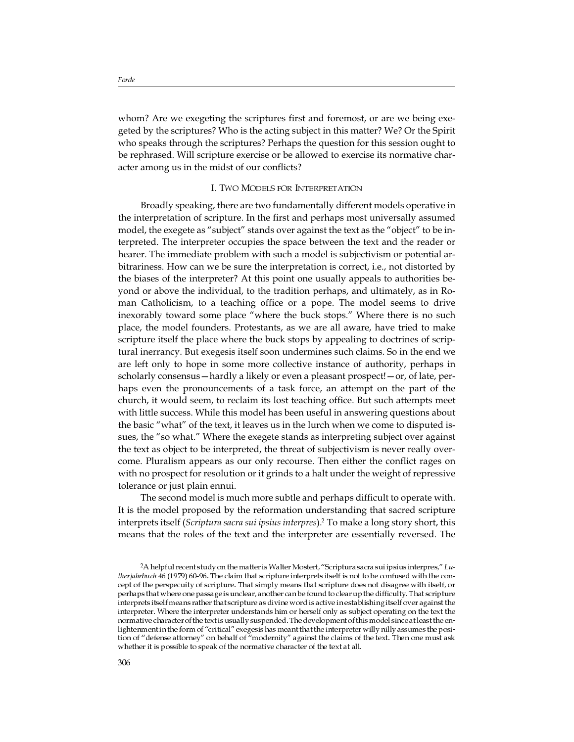whom? Are we exegeting the scriptures first and foremost, or are we being exegeted by the scriptures? Who is the acting subject in this matter? We? Or the Spirit who speaks through the scriptures? Perhaps the question for this session ought to be rephrased. Will scripture exercise or be allowed to exercise its normative character among us in the midst of our conflicts?

### I. TWO MODELS FOR INTERPRETATION

Broadly speaking, there are two fundamentally different models operative in the interpretation of scripture. In the first and perhaps most universally assumed model, the exegete as "subject" stands over against the text as the "object" to be interpreted. The interpreter occupies the space between the text and the reader or hearer. The immediate problem with such a model is subjectivism or potential arbitrariness. How can we be sure the interpretation is correct, i.e., not distorted by the biases of the interpreter? At this point one usually appeals to authorities beyond or above the individual, to the tradition perhaps, and ultimately, as in Roman Catholicism, to a teaching office or a pope. The model seems to drive inexorably toward some place "where the buck stops." Where there is no such place, the model founders. Protestants, as we are all aware, have tried to make scripture itself the place where the buck stops by appealing to doctrines of scriptural inerrancy. But exegesis itself soon undermines such claims. So in the end we are left only to hope in some more collective instance of authority, perhaps in scholarly consensus—hardly a likely or even a pleasant prospect!—or, of late, perhaps even the pronouncements of a task force, an attempt on the part of the church, it would seem, to reclaim its lost teaching office. But such attempts meet with little success. While this model has been useful in answering questions about the basic "what" of the text, it leaves us in the lurch when we come to disputed issues, the "so what." Where the exegete stands as interpreting subject over against the text as object to be interpreted, the threat of subjectivism is never really overcome. Pluralism appears as our only recourse. Then either the conflict rages on with no prospect for resolution or it grinds to a halt under the weight of repressive tolerance or just plain ennui.

The second model is much more subtle and perhaps difficult to operate with. It is the model proposed by the reformation understanding that sacred scripture interprets itself (*Scriptura sacra sui ipsius interpres*).<sup>2</sup> To make a long story short, this means that the roles of the text and the interpreter are essentially reversed. The

 $2A$  helpful recent study on the matter is Walter Mostert, "Scriptura sacra sui ipsius interpres," Lutherjahrbuch 46 (1979) 60-96. The claim that scripture interprets itself is not to be confused with the concept of the perspecuity of scripture. That simply means that scripture does not disagree with itself, or perhaps that where one passage is unclear, another can be found to clear up the difficulty. That scripture interprets itself means rather that scripture as divine word is active in establishing itself over against the interpreter. Where the interpreter understands him or herself only as subject operating on the text the normative character of the text is usually suspended. The development of this model since at least the enlightenment in the form of "critical" exegesis has meant that the interpreter willy nilly assumes the position of "defense attorney" on behalf of "modernity" against the claims of the text. Then one must ask whether it is possible to speak of the normative character of the text at all.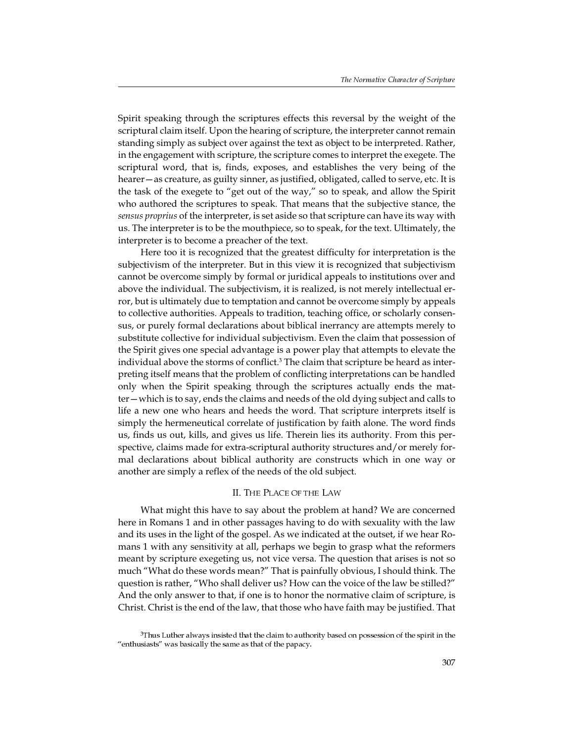Spirit speaking through the scriptures effects this reversal by the weight of the scriptural claim itself. Upon the hearing of scripture, the interpreter cannot remain standing simply as subject over against the text as object to be interpreted. Rather, in the engagement with scripture, the scripture comes to interpret the exegete. The scriptural word, that is, finds, exposes, and establishes the very being of the hearer—as creature, as guilty sinner, as justified, obligated, called to serve, etc. It is the task of the exegete to "get out of the way," so to speak, and allow the Spirit who authored the scriptures to speak. That means that the subjective stance, the *sensus proprius* of the interpreter, is set aside so that scripture can have its way with us. The interpreter is to be the mouthpiece, so to speak, for the text. Ultimately, the interpreter is to become a preacher of the text.

Here too it is recognized that the greatest difficulty for interpretation is the subjectivism of the interpreter. But in this view it is recognized that subjectivism cannot be overcome simply by formal or juridical appeals to institutions over and above the individual. The subjectivism, it is realized, is not merely intellectual error, but is ultimately due to temptation and cannot be overcome simply by appeals to collective authorities. Appeals to tradition, teaching office, or scholarly consensus, or purely formal declarations about biblical inerrancy are attempts merely to substitute collective for individual subjectivism. Even the claim that possession of the Spirit gives one special advantage is a power play that attempts to elevate the individual above the storms of conflict.<sup>3</sup> The claim that scripture be heard as interpreting itself means that the problem of conflicting interpretations can be handled only when the Spirit speaking through the scriptures actually ends the matter—which is to say, ends the claims and needs of the old dying subject and calls to life a new one who hears and heeds the word. That scripture interprets itself is simply the hermeneutical correlate of justification by faith alone. The word finds us, finds us out, kills, and gives us life. Therein lies its authority. From this perspective, claims made for extra-scriptural authority structures and/or merely formal declarations about biblical authority are constructs which in one way or another are simply a reflex of the needs of the old subject.

## II. THE PLACE OF THE LAW

What might this have to say about the problem at hand? We are concerned here in Romans 1 and in other passages having to do with sexuality with the law and its uses in the light of the gospel. As we indicated at the outset, if we hear Romans 1 with any sensitivity at all, perhaps we begin to grasp what the reformers meant by scripture exegeting us, not vice versa. The question that arises is not so much "What do these words mean?" That is painfully obvious, I should think. The question is rather, "Who shall deliver us? How can the voice of the law be stilled?" And the only answer to that, if one is to honor the normative claim of scripture, is Christ. Christ is the end of the law, that those who have faith may be justified. That

<sup>3</sup>Thus Luther always insisted that the claim to authority based on possession of the spirit in the "enthusiasts" was basically the same as that of the papacy.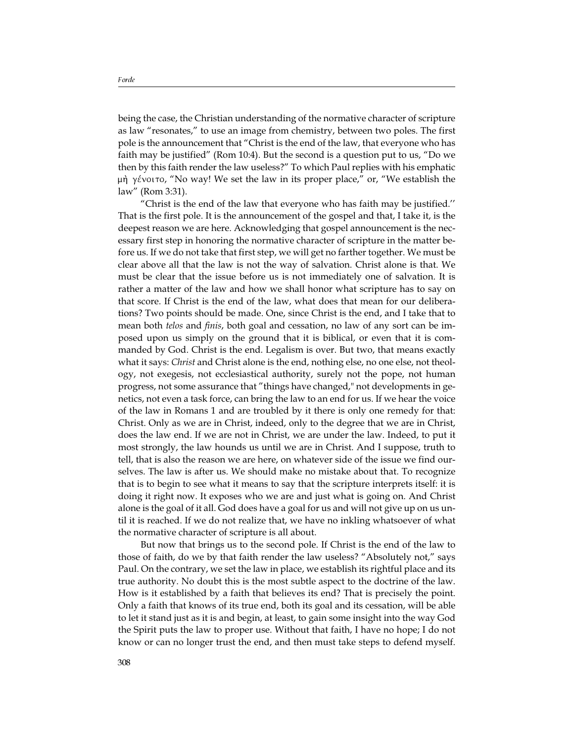being the case, the Christian understanding of the normative character of scripture as law "resonates," to use an image from chemistry, between two poles. The first pole is the announcement that "Christ is the end of the law, that everyone who has faith may be justified" (Rom 10:4). But the second is a question put to us, "Do we then by this faith render the law useless?" To which Paul replies with his emphatic  $\mu$   $\dot{\eta}$   $\gamma$  givoito, "No way! We set the law in its proper place," or, "We establish the law" (Rom 3:31).

"Christ is the end of the law that everyone who has faith may be justified.'' That is the first pole. It is the announcement of the gospel and that, I take it, is the deepest reason we are here. Acknowledging that gospel announcement is the necessary first step in honoring the normative character of scripture in the matter before us. If we do not take that first step, we will get no farther together. We must be clear above all that the law is not the way of salvation. Christ alone is that. We must be clear that the issue before us is not immediately one of salvation. It is rather a matter of the law and how we shall honor what scripture has to say on that score. If Christ is the end of the law, what does that mean for our deliberations? Two points should be made. One, since Christ is the end, and I take that to mean both *telos* and *finis*, both goal and cessation, no law of any sort can be imposed upon us simply on the ground that it is biblical, or even that it is commanded by God. Christ is the end. Legalism is over. But two, that means exactly what it says: *Christ* and Christ alone is the end, nothing else, no one else, not theology, not exegesis, not ecclesiastical authority, surely not the pope, not human progress, not some assurance that "things have changed," not developments in genetics, not even a task force, can bring the law to an end for us. If we hear the voice of the law in Romans 1 and are troubled by it there is only one remedy for that: Christ. Only as we are in Christ, indeed, only to the degree that we are in Christ, does the law end. If we are not in Christ, we are under the law. Indeed, to put it most strongly, the law hounds us until we are in Christ. And I suppose, truth to tell, that is also the reason we are here, on whatever side of the issue we find ourselves. The law is after us. We should make no mistake about that. To recognize that is to begin to see what it means to say that the scripture interprets itself: it is doing it right now. It exposes who we are and just what is going on. And Christ alone is the goal of it all. God does have a goal for us and will not give up on us until it is reached. If we do not realize that, we have no inkling whatsoever of what the normative character of scripture is all about.

But now that brings us to the second pole. If Christ is the end of the law to those of faith, do we by that faith render the law useless? "Absolutely not," says Paul. On the contrary, we set the law in place, we establish its rightful place and its true authority. No doubt this is the most subtle aspect to the doctrine of the law. How is it established by a faith that believes its end? That is precisely the point. Only a faith that knows of its true end, both its goal and its cessation, will be able to let it stand just as it is and begin, at least, to gain some insight into the way God the Spirit puts the law to proper use. Without that faith, I have no hope; I do not know or can no longer trust the end, and then must take steps to defend myself.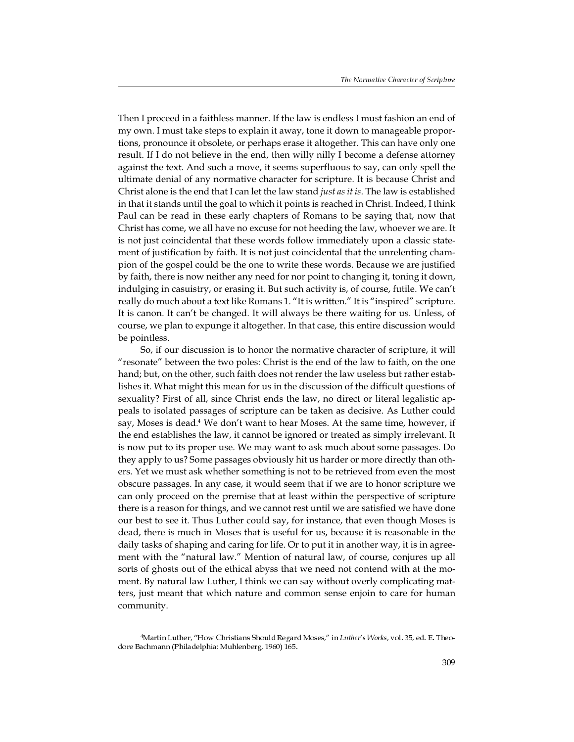Then I proceed in a faithless manner. If the law is endless I must fashion an end of my own. I must take steps to explain it away, tone it down to manageable proportions, pronounce it obsolete, or perhaps erase it altogether. This can have only one result. If I do not believe in the end, then willy nilly I become a defense attorney against the text. And such a move, it seems superfluous to say, can only spell the ultimate denial of any normative character for scripture. It is because Christ and Christ alone is the end that I can let the law stand *just as it is*. The law is established in that it stands until the goal to which it points is reached in Christ. Indeed, I think Paul can be read in these early chapters of Romans to be saying that, now that Christ has come, we all have no excuse for not heeding the law, whoever we are. It is not just coincidental that these words follow immediately upon a classic statement of justification by faith. It is not just coincidental that the unrelenting champion of the gospel could be the one to write these words. Because we are justified by faith, there is now neither any need for nor point to changing it, toning it down, indulging in casuistry, or erasing it. But such activity is, of course, futile. We can't really do much about a text like Romans 1. "It is written." It is "inspired" scripture. It is canon. It can't be changed. It will always be there waiting for us. Unless, of course, we plan to expunge it altogether. In that case, this entire discussion would be pointless.

So, if our discussion is to honor the normative character of scripture, it will "resonate" between the two poles: Christ is the end of the law to faith, on the one hand; but, on the other, such faith does not render the law useless but rather establishes it. What might this mean for us in the discussion of the difficult questions of sexuality? First of all, since Christ ends the law, no direct or literal legalistic appeals to isolated passages of scripture can be taken as decisive. As Luther could say, Moses is dead.<sup>4</sup> We don't want to hear Moses. At the same time, however, if the end establishes the law, it cannot be ignored or treated as simply irrelevant. It is now put to its proper use. We may want to ask much about some passages. Do they apply to us? Some passages obviously hit us harder or more directly than others. Yet we must ask whether something is not to be retrieved from even the most obscure passages. In any case, it would seem that if we are to honor scripture we can only proceed on the premise that at least within the perspective of scripture there is a reason for things, and we cannot rest until we are satisfied we have done our best to see it. Thus Luther could say, for instance, that even though Moses is dead, there is much in Moses that is useful for us, because it is reasonable in the daily tasks of shaping and caring for life. Or to put it in another way, it is in agreement with the "natural law." Mention of natural law, of course, conjures up all sorts of ghosts out of the ethical abyss that we need not contend with at the moment. By natural law Luther, I think we can say without overly complicating matters, just meant that which nature and common sense enjoin to care for human community.

<sup>&</sup>lt;sup>4</sup>Martin Luther, "How Christians Should Regard Moses," in Luther's Works, vol. 35, ed. E. Theodore Bachmann (Philadelphia: Muhlenberg, 1960) 165.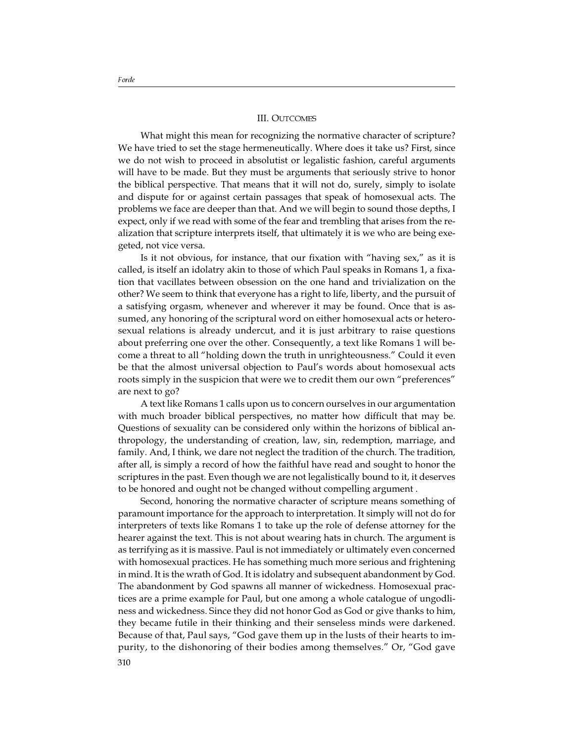### III. OUTCOMES

What might this mean for recognizing the normative character of scripture? We have tried to set the stage hermeneutically. Where does it take us? First, since we do not wish to proceed in absolutist or legalistic fashion, careful arguments will have to be made. But they must be arguments that seriously strive to honor the biblical perspective. That means that it will not do, surely, simply to isolate and dispute for or against certain passages that speak of homosexual acts. The problems we face are deeper than that. And we will begin to sound those depths, I expect, only if we read with some of the fear and trembling that arises from the realization that scripture interprets itself, that ultimately it is we who are being exegeted, not vice versa.

Is it not obvious, for instance, that our fixation with "having sex," as it is called, is itself an idolatry akin to those of which Paul speaks in Romans 1, a fixation that vacillates between obsession on the one hand and trivialization on the other? We seem to think that everyone has a right to life, liberty, and the pursuit of a satisfying orgasm, whenever and wherever it may be found. Once that is assumed, any honoring of the scriptural word on either homosexual acts or heterosexual relations is already undercut, and it is just arbitrary to raise questions about preferring one over the other. Consequently, a text like Romans 1 will become a threat to all "holding down the truth in unrighteousness." Could it even be that the almost universal objection to Paul's words about homosexual acts roots simply in the suspicion that were we to credit them our own "preferences" are next to go?

A text like Romans 1 calls upon us to concern ourselves in our argumentation with much broader biblical perspectives, no matter how difficult that may be. Questions of sexuality can be considered only within the horizons of biblical anthropology, the understanding of creation, law, sin, redemption, marriage, and family. And, I think, we dare not neglect the tradition of the church. The tradition, after all, is simply a record of how the faithful have read and sought to honor the scriptures in the past. Even though we are not legalistically bound to it, it deserves to be honored and ought not be changed without compelling argument .

Second, honoring the normative character of scripture means something of paramount importance for the approach to interpretation. It simply will not do for interpreters of texts like Romans 1 to take up the role of defense attorney for the hearer against the text. This is not about wearing hats in church. The argument is as terrifying as it is massive. Paul is not immediately or ultimately even concerned with homosexual practices. He has something much more serious and frightening in mind. It is the wrath of God. It is idolatry and subsequent abandonment by God. The abandonment by God spawns all manner of wickedness. Homosexual practices are a prime example for Paul, but one among a whole catalogue of ungodliness and wickedness. Since they did not honor God as God or give thanks to him, they became futile in their thinking and their senseless minds were darkened. Because of that, Paul says, "God gave them up in the lusts of their hearts to impurity, to the dishonoring of their bodies among themselves." Or, "God gave 310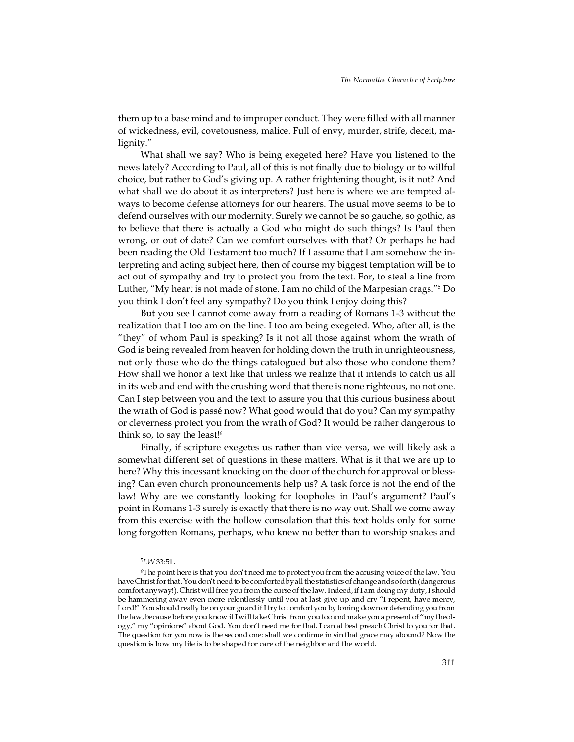them up to a base mind and to improper conduct. They were filled with all manner of wickedness, evil, covetousness, malice. Full of envy, murder, strife, deceit, malignity."

What shall we say? Who is being exegeted here? Have you listened to the news lately? According to Paul, all of this is not finally due to biology or to willful choice, but rather to God's giving up. A rather frightening thought, is it not? And what shall we do about it as interpreters? Just here is where we are tempted always to become defense attorneys for our hearers. The usual move seems to be to defend ourselves with our modernity. Surely we cannot be so gauche, so gothic, as to believe that there is actually a God who might do such things? Is Paul then wrong, or out of date? Can we comfort ourselves with that? Or perhaps he had been reading the Old Testament too much? If I assume that I am somehow the interpreting and acting subject here, then of course my biggest temptation will be to act out of sympathy and try to protect you from the text. For, to steal a line from Luther, "My heart is not made of stone. I am no child of the Marpesian crags."<sup>5</sup> Do you think I don't feel any sympathy? Do you think I enjoy doing this?

But you see I cannot come away from a reading of Romans 1-3 without the realization that I too am on the line. I too am being exegeted. Who, after all, is the "they" of whom Paul is speaking? Is it not all those against whom the wrath of God is being revealed from heaven for holding down the truth in unrighteousness, not only those who do the things catalogued but also those who condone them? How shall we honor a text like that unless we realize that it intends to catch us all in its web and end with the crushing word that there is none righteous, no not one. Can I step between you and the text to assure you that this curious business about the wrath of God is passé now? What good would that do you? Can my sympathy or cleverness protect you from the wrath of God? It would be rather dangerous to think so, to say the least! $6$ 

Finally, if scripture exegetes us rather than vice versa, we will likely ask a somewhat different set of questions in these matters. What is it that we are up to here? Why this incessant knocking on the door of the church for approval or blessing? Can even church pronouncements help us? A task force is not the end of the law! Why are we constantly looking for loopholes in Paul's argument? Paul's point in Romans 1-3 surely is exactly that there is no way out. Shall we come away from this exercise with the hollow consolation that this text holds only for some long forgotten Romans, perhaps, who knew no better than to worship snakes and

#### 5LW 33:51.

<sup>&</sup>lt;sup>6</sup>The point here is that you don't need me to protect you from the accusing voice of the law. You have Christ for that. You don't need to be comforted by all the statistics of change and so forth (dangerous comfort anyway!). Christ will free you from the curse of the law. Indeed, if I am doing my duty, I should be hammering away even more relentlessly until you at last give up and cry "I repent, have mercy, Lord!" You should really be on your guard if I try to comfort you by toning down or defending you from the law, because before you know it I will take Christ from you too and make you a present of  $\pi$  my theology," my "opinions" about God. You don't need me for that. I can at best preach Christ to you for that. The question for you now is the second one: shall we continue in sin that grace may abound? Now the question is how my life is to be shaped for care of the neighbor and the world.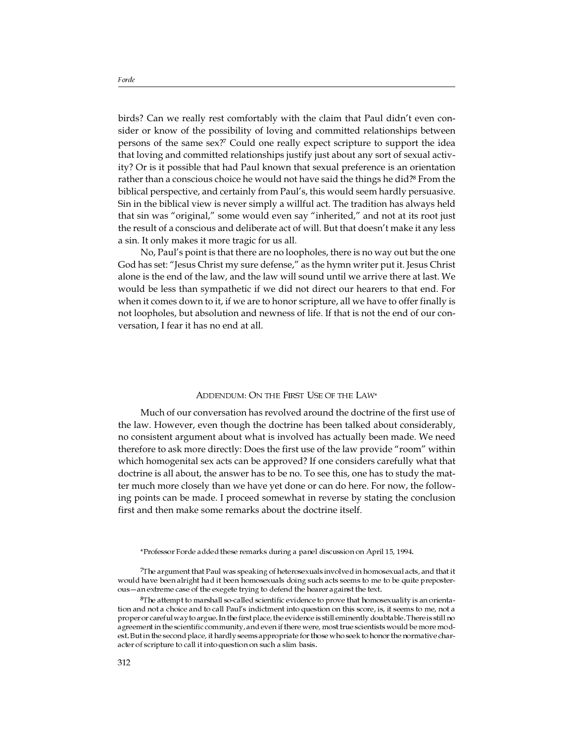birds? Can we really rest comfortably with the claim that Paul didn't even consider or know of the possibility of loving and committed relationships between persons of the same sex?<sup>7</sup> Could one really expect scripture to support the idea that loving and committed relationships justify just about any sort of sexual activity? Or is it possible that had Paul known that sexual preference is an orientation rather than a conscious choice he would not have said the things he did?<sup>8</sup> From the biblical perspective, and certainly from Paul's, this would seem hardly persuasive. Sin in the biblical view is never simply a willful act. The tradition has always held that sin was "original," some would even say "inherited," and not at its root just the result of a conscious and deliberate act of will. But that doesn't make it any less a sin. It only makes it more tragic for us all.

No, Paul's point is that there are no loopholes, there is no way out but the one God has set: "Jesus Christ my sure defense," as the hymn writer put it. Jesus Christ alone is the end of the law, and the law will sound until we arrive there at last. We would be less than sympathetic if we did not direct our hearers to that end. For when it comes down to it, if we are to honor scripture, all we have to offer finally is not loopholes, but absolution and newness of life. If that is not the end of our conversation, I fear it has no end at all.

#### ADDENDUM: ON THE FIRST USE OF THE LAW\*

Much of our conversation has revolved around the doctrine of the first use of the law. However, even though the doctrine has been talked about considerably, no consistent argument about what is involved has actually been made. We need therefore to ask more directly: Does the first use of the law provide "room" within which homogenital sex acts can be approved? If one considers carefully what that doctrine is all about, the answer has to be no. To see this, one has to study the matter much more closely than we have yet done or can do here. For now, the following points can be made. I proceed somewhat in reverse by stating the conclusion first and then make some remarks about the doctrine itself.

\*Professor Forde added these remarks during a panel discussion on April 15, 1994.

7The argument that Paul was speaking of heterosexuals involved in homosexual acts, and that it would have been alright had it been homosexuals doing such acts seems to me to be quite preposterous-an extreme case of the exegete trying to defend the hearer against the text.

8The attempt to marshall so-called scientific evidence to prove that homosexuality is an orientation and not a choice and to call Paul's indictment into question on this score, is, it seems to me, not a proper or careful way to argue. In the first place, the evidenceis still eminently doubtable. Thereis still no agreement in the scientific community, and even if there were, most true scientists would be more modest. But in the second place, it hardly seems appropriate for those who seek to honor the normative character of scripture to call it into question on such a slim basis.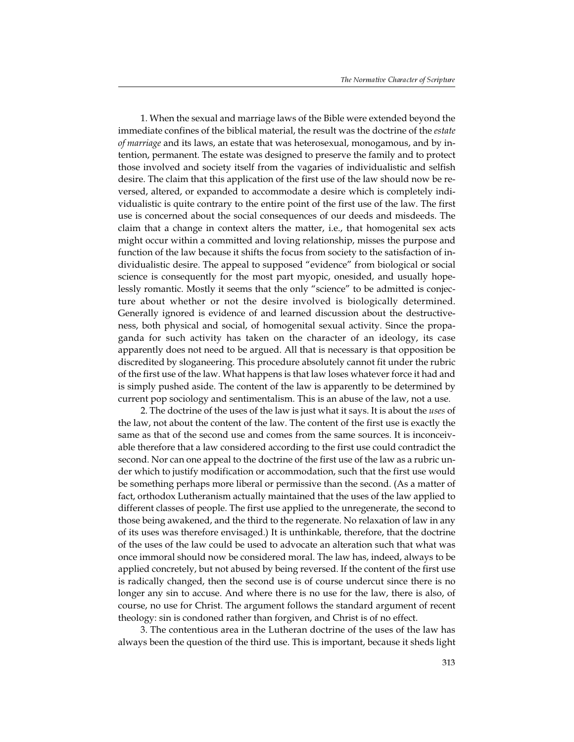1. When the sexual and marriage laws of the Bible were extended beyond the immediate confines of the biblical material, the result was the doctrine of the *estate of marriage* and its laws, an estate that was heterosexual, monogamous, and by intention, permanent. The estate was designed to preserve the family and to protect those involved and society itself from the vagaries of individualistic and selfish desire. The claim that this application of the first use of the law should now be reversed, altered, or expanded to accommodate a desire which is completely individualistic is quite contrary to the entire point of the first use of the law. The first use is concerned about the social consequences of our deeds and misdeeds. The claim that a change in context alters the matter, i.e., that homogenital sex acts might occur within a committed and loving relationship, misses the purpose and function of the law because it shifts the focus from society to the satisfaction of individualistic desire. The appeal to supposed "evidence" from biological or social science is consequently for the most part myopic, onesided, and usually hopelessly romantic. Mostly it seems that the only "science" to be admitted is conjecture about whether or not the desire involved is biologically determined. Generally ignored is evidence of and learned discussion about the destructiveness, both physical and social, of homogenital sexual activity. Since the propaganda for such activity has taken on the character of an ideology, its case apparently does not need to be argued. All that is necessary is that opposition be discredited by sloganeering. This procedure absolutely cannot fit under the rubric of the first use of the law. What happens is that law loses whatever force it had and is simply pushed aside. The content of the law is apparently to be determined by current pop sociology and sentimentalism. This is an abuse of the law, not a use.

2. The doctrine of the uses of the law is just what it says. It is about the *uses* of the law, not about the content of the law. The content of the first use is exactly the same as that of the second use and comes from the same sources. It is inconceivable therefore that a law considered according to the first use could contradict the second. Nor can one appeal to the doctrine of the first use of the law as a rubric under which to justify modification or accommodation, such that the first use would be something perhaps more liberal or permissive than the second. (As a matter of fact, orthodox Lutheranism actually maintained that the uses of the law applied to different classes of people. The first use applied to the unregenerate, the second to those being awakened, and the third to the regenerate. No relaxation of law in any of its uses was therefore envisaged.) It is unthinkable, therefore, that the doctrine of the uses of the law could be used to advocate an alteration such that what was once immoral should now be considered moral. The law has, indeed, always to be applied concretely, but not abused by being reversed. If the content of the first use is radically changed, then the second use is of course undercut since there is no longer any sin to accuse. And where there is no use for the law, there is also, of course, no use for Christ. The argument follows the standard argument of recent theology: sin is condoned rather than forgiven, and Christ is of no effect.

3. The contentious area in the Lutheran doctrine of the uses of the law has always been the question of the third use. This is important, because it sheds light